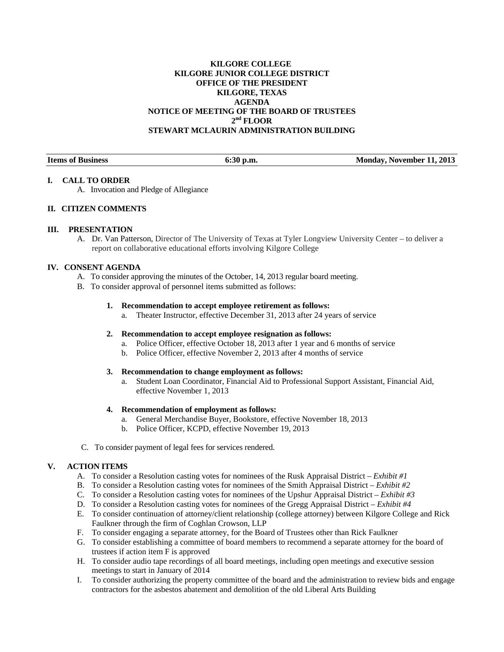# **KILGORE COLLEGE KILGORE JUNIOR COLLEGE DISTRICT OFFICE OF THE PRESIDENT KILGORE, TEXAS AGENDA NOTICE OF MEETING OF THE BOARD OF TRUSTEES**   $2<sup>nd</sup>$  FLOOR **STEWART MCLAURIN ADMINISTRATION BUILDING**

| <b>Items of Business</b> | $6:30$ p.m. | Monday, November 11, 2013 |
|--------------------------|-------------|---------------------------|
|                          |             |                           |

### **I. CALL TO ORDER**

A. Invocation and Pledge of Allegiance

# **II. CITIZEN COMMENTS**

#### **III. PRESENTATION**

A. Dr. Van Patterson, Director of The University of Texas at Tyler Longview University Center – to deliver a report on collaborative educational efforts involving Kilgore College

#### **IV. CONSENT AGENDA**

- A. To consider approving the minutes of the October, 14, 2013 regular board meeting.
- B. To consider approval of personnel items submitted as follows:

#### **1. Recommendation to accept employee retirement as follows:**

a. Theater Instructor, effective December 31, 2013 after 24 years of service

# **2. Recommendation to accept employee resignation as follows:**

- a. Police Officer, effective October 18, 2013 after 1 year and 6 months of service
- b. Police Officer, effective November 2, 2013 after 4 months of service

### **3. Recommendation to change employment as follows:**

a. Student Loan Coordinator, Financial Aid to Professional Support Assistant, Financial Aid, effective November 1, 2013

# **4. Recommendation of employment as follows:**

- a. General Merchandise Buyer, Bookstore, effective November 18, 2013
- b. Police Officer, KCPD, effective November 19, 2013
- C. To consider payment of legal fees for services rendered.

# **V. ACTION ITEMS**

- A. To consider a Resolution casting votes for nominees of the Rusk Appraisal District *Exhibit #1*
- B. To consider a Resolution casting votes for nominees of the Smith Appraisal District *Exhibit #2*
- C. To consider a Resolution casting votes for nominees of the Upshur Appraisal District *Exhibit #3*
- D. To consider a Resolution casting votes for nominees of the Gregg Appraisal District *Exhibit #4*
- E. To consider continuation of attorney/client relationship (college attorney) between Kilgore College and Rick Faulkner through the firm of Coghlan Crowson, LLP
- F. To consider engaging a separate attorney, for the Board of Trustees other than Rick Faulkner
- G. To consider establishing a committee of board members to recommend a separate attorney for the board of trustees if action item F is approved
- H. To consider audio tape recordings of all board meetings, including open meetings and executive session meetings to start in January of 2014
- I. To consider authorizing the property committee of the board and the administration to review bids and engage contractors for the asbestos abatement and demolition of the old Liberal Arts Building